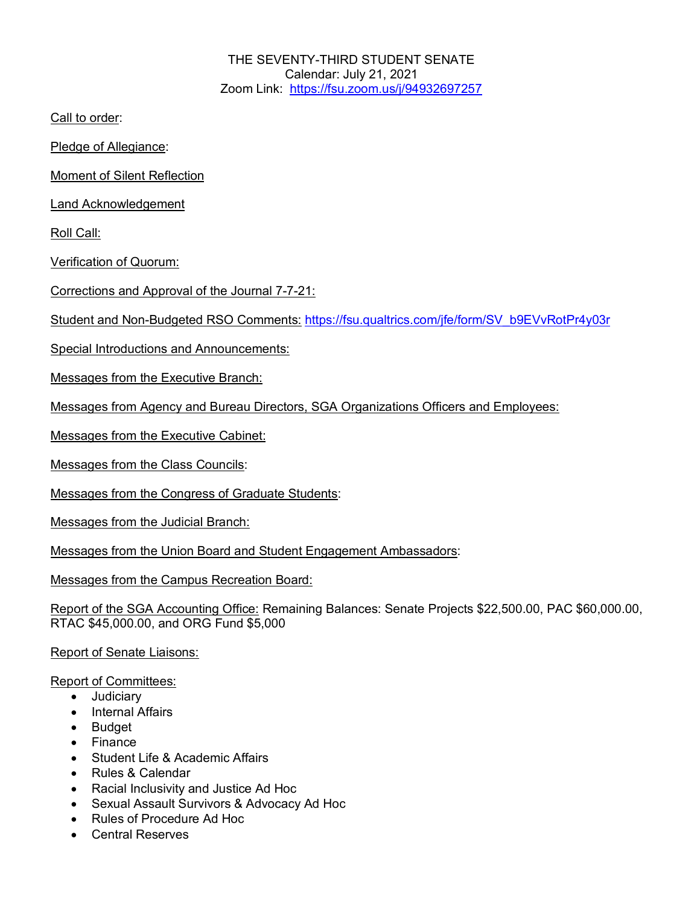THE SEVENTY-THIRD STUDENT SENATE Calendar: July 21, 2021 Zoom Link: https://fsu.zoom.us/j/94932697257

Call to order:

Pledge of Allegiance:

Moment of Silent Reflection

Land Acknowledgement

Roll Call:

Verification of Quorum:

Corrections and Approval of the Journal 7-7-21:

Student and Non-Budgeted RSO Comments: https://fsu.qualtrics.com/jfe/form/SV\_b9EVvRotPr4y03r

Special Introductions and Announcements:

Messages from the Executive Branch:

Messages from Agency and Bureau Directors, SGA Organizations Officers and Employees:

Messages from the Executive Cabinet:

Messages from the Class Councils:

Messages from the Congress of Graduate Students:

Messages from the Judicial Branch:

Messages from the Union Board and Student Engagement Ambassadors:

Messages from the Campus Recreation Board:

Report of the SGA Accounting Office: Remaining Balances: Senate Projects \$22,500.00, PAC \$60,000.00, RTAC \$45,000.00, and ORG Fund \$5,000

Report of Senate Liaisons:

Report of Committees:

- Judiciary
- Internal Affairs
- Budget
- Finance
- Student Life & Academic Affairs
- Rules & Calendar
- Racial Inclusivity and Justice Ad Hoc
- Sexual Assault Survivors & Advocacy Ad Hoc
- Rules of Procedure Ad Hoc
- Central Reserves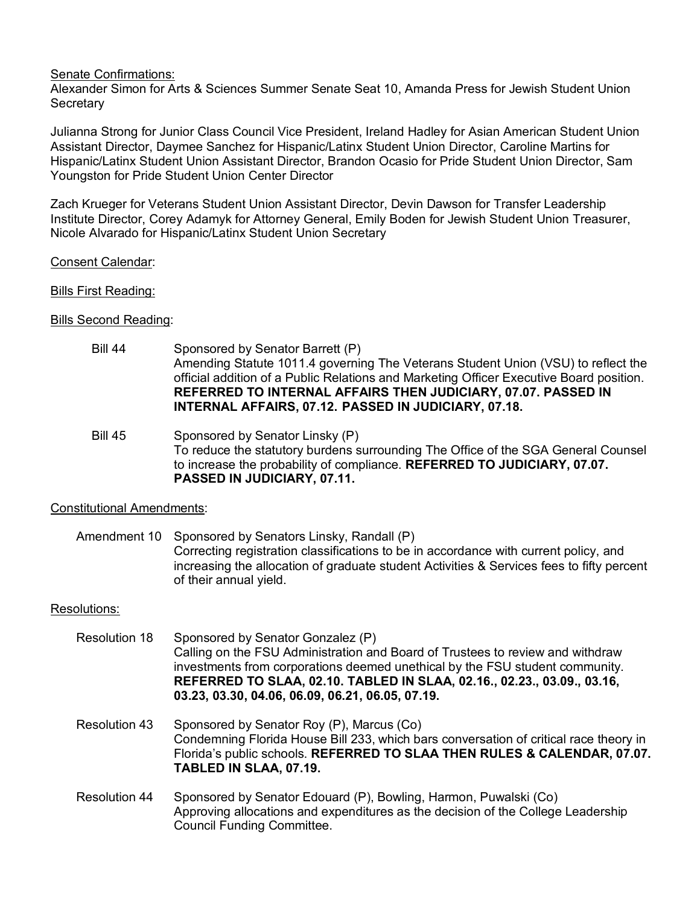Senate Confirmations:

Alexander Simon for Arts & Sciences Summer Senate Seat 10, Amanda Press for Jewish Student Union **Secretary** 

Julianna Strong for Junior Class Council Vice President, Ireland Hadley for Asian American Student Union Assistant Director, Daymee Sanchez for Hispanic/Latinx Student Union Director, Caroline Martins for Hispanic/Latinx Student Union Assistant Director, Brandon Ocasio for Pride Student Union Director, Sam Youngston for Pride Student Union Center Director

Zach Krueger for Veterans Student Union Assistant Director, Devin Dawson for Transfer Leadership Institute Director, Corey Adamyk for Attorney General, Emily Boden for Jewish Student Union Treasurer, Nicole Alvarado for Hispanic/Latinx Student Union Secretary

Consent Calendar:

Bills First Reading:

Bills Second Reading:

- Bill 44 Sponsored by Senator Barrett (P) Amending Statute 1011.4 governing The Veterans Student Union (VSU) to reflect the official addition of a Public Relations and Marketing Officer Executive Board position. **REFERRED TO INTERNAL AFFAIRS THEN JUDICIARY, 07.07. PASSED IN INTERNAL AFFAIRS, 07.12. PASSED IN JUDICIARY, 07.18.**
- Bill 45 Sponsored by Senator Linsky (P) To reduce the statutory burdens surrounding The Office of the SGA General Counsel to increase the probability of compliance. **REFERRED TO JUDICIARY, 07.07. PASSED IN JUDICIARY, 07.11.**

Constitutional Amendments:

Amendment 10 Sponsored by Senators Linsky, Randall (P) Correcting registration classifications to be in accordance with current policy, and increasing the allocation of graduate student Activities & Services fees to fifty percent of their annual yield.

# Resolutions:

| <b>Resolution 18</b> | Sponsored by Senator Gonzalez (P)<br>Calling on the FSU Administration and Board of Trustees to review and withdraw<br>investments from corporations deemed unethical by the FSU student community.<br>REFERRED TO SLAA, 02.10. TABLED IN SLAA, 02.16., 02.23., 03.09., 03.16,<br>03.23, 03.30, 04.06, 06.09, 06.21, 06.05, 07.19. |
|----------------------|------------------------------------------------------------------------------------------------------------------------------------------------------------------------------------------------------------------------------------------------------------------------------------------------------------------------------------|
| <b>Resolution 43</b> | Sponsored by Senator Roy (P), Marcus (Co)<br>Condemning Florida House Bill 233, which bars conversation of critical race theory in<br>Florida's public schools. REFERRED TO SLAA THEN RULES & CALENDAR, 07.07.<br>TABLED IN SLAA, 07.19.                                                                                           |
| <b>Resolution 44</b> | Sponsored by Senator Edouard (P), Bowling, Harmon, Puwalski (Co)                                                                                                                                                                                                                                                                   |

Approving allocations and expenditures as the decision of the College Leadership Council Funding Committee.